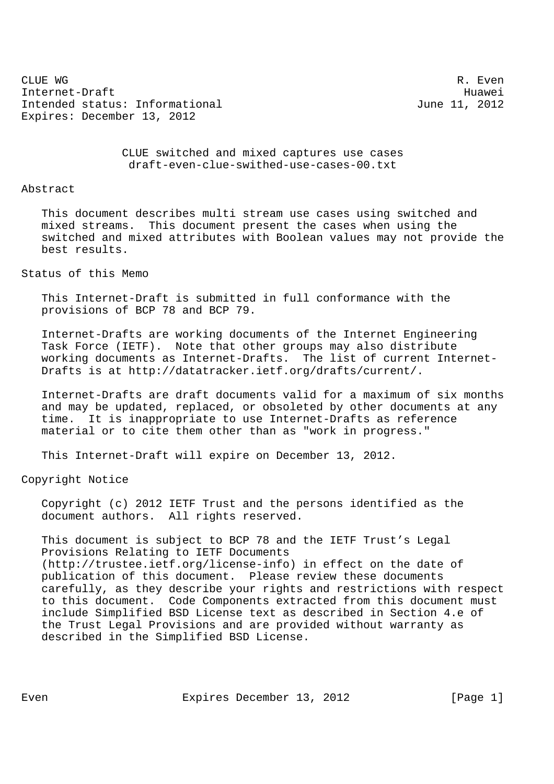CLUE WG R. Even Internet-Draft Huawei Intended status: Informational and June 11, 2012 Expires: December 13, 2012

 CLUE switched and mixed captures use cases draft-even-clue-swithed-use-cases-00.txt

## Abstract

 This document describes multi stream use cases using switched and mixed streams. This document present the cases when using the switched and mixed attributes with Boolean values may not provide the best results.

Status of this Memo

 This Internet-Draft is submitted in full conformance with the provisions of BCP 78 and BCP 79.

 Internet-Drafts are working documents of the Internet Engineering Task Force (IETF). Note that other groups may also distribute working documents as Internet-Drafts. The list of current Internet- Drafts is at http://datatracker.ietf.org/drafts/current/.

 Internet-Drafts are draft documents valid for a maximum of six months and may be updated, replaced, or obsoleted by other documents at any time. It is inappropriate to use Internet-Drafts as reference material or to cite them other than as "work in progress."

This Internet-Draft will expire on December 13, 2012.

Copyright Notice

 Copyright (c) 2012 IETF Trust and the persons identified as the document authors. All rights reserved.

 This document is subject to BCP 78 and the IETF Trust's Legal Provisions Relating to IETF Documents (http://trustee.ietf.org/license-info) in effect on the date of publication of this document. Please review these documents carefully, as they describe your rights and restrictions with respect to this document. Code Components extracted from this document must include Simplified BSD License text as described in Section 4.e of the Trust Legal Provisions and are provided without warranty as described in the Simplified BSD License.

Even Expires December 13, 2012 [Page 1]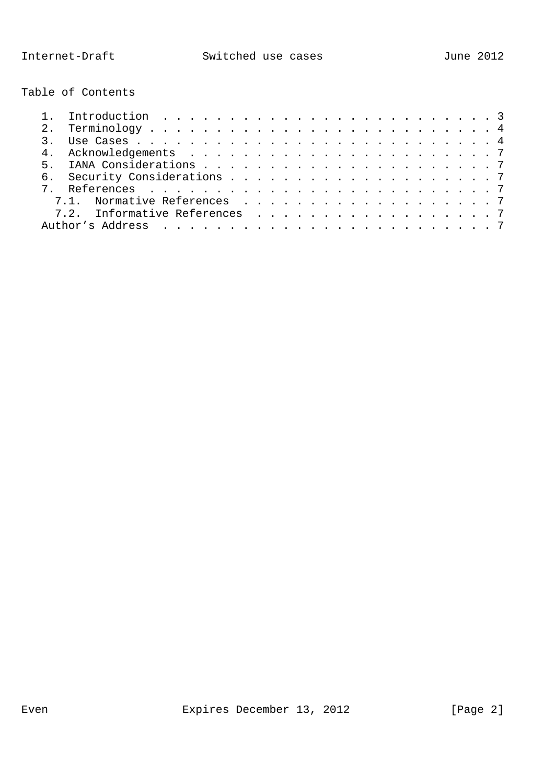Table of Contents

| 7.1. Normative References 7   |
|-------------------------------|
| 7.2. Informative References 7 |
|                               |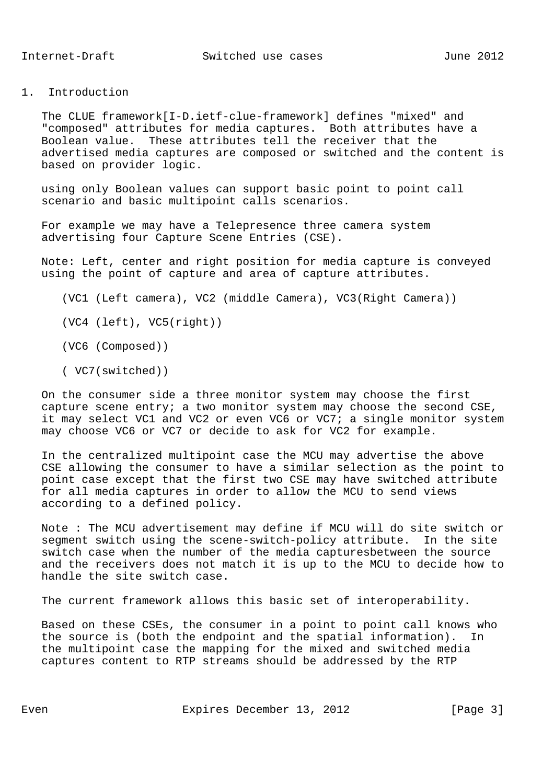1. Introduction

 The CLUE framework[I-D.ietf-clue-framework] defines "mixed" and "composed" attributes for media captures. Both attributes have a Boolean value. These attributes tell the receiver that the advertised media captures are composed or switched and the content is based on provider logic.

 using only Boolean values can support basic point to point call scenario and basic multipoint calls scenarios.

 For example we may have a Telepresence three camera system advertising four Capture Scene Entries (CSE).

 Note: Left, center and right position for media capture is conveyed using the point of capture and area of capture attributes.

(VC1 (Left camera), VC2 (middle Camera), VC3(Right Camera))

(VC4 (left), VC5(right))

(VC6 (Composed))

( VC7(switched))

 On the consumer side a three monitor system may choose the first capture scene entry; a two monitor system may choose the second CSE, it may select VC1 and VC2 or even VC6 or VC7; a single monitor system may choose VC6 or VC7 or decide to ask for VC2 for example.

 In the centralized multipoint case the MCU may advertise the above CSE allowing the consumer to have a similar selection as the point to point case except that the first two CSE may have switched attribute for all media captures in order to allow the MCU to send views according to a defined policy.

 Note : The MCU advertisement may define if MCU will do site switch or segment switch using the scene-switch-policy attribute. In the site switch case when the number of the media capturesbetween the source and the receivers does not match it is up to the MCU to decide how to handle the site switch case.

The current framework allows this basic set of interoperability.

 Based on these CSEs, the consumer in a point to point call knows who the source is (both the endpoint and the spatial information). In the multipoint case the mapping for the mixed and switched media captures content to RTP streams should be addressed by the RTP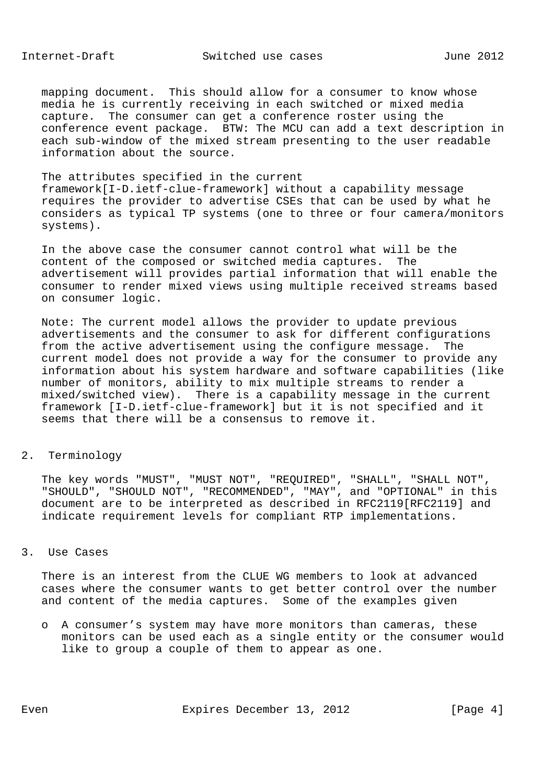mapping document. This should allow for a consumer to know whose media he is currently receiving in each switched or mixed media capture. The consumer can get a conference roster using the conference event package. BTW: The MCU can add a text description in each sub-window of the mixed stream presenting to the user readable information about the source.

## The attributes specified in the current

 framework[I-D.ietf-clue-framework] without a capability message requires the provider to advertise CSEs that can be used by what he considers as typical TP systems (one to three or four camera/monitors systems).

 In the above case the consumer cannot control what will be the content of the composed or switched media captures. The advertisement will provides partial information that will enable the consumer to render mixed views using multiple received streams based on consumer logic.

 Note: The current model allows the provider to update previous advertisements and the consumer to ask for different configurations from the active advertisement using the configure message. The current model does not provide a way for the consumer to provide any information about his system hardware and software capabilities (like number of monitors, ability to mix multiple streams to render a mixed/switched view). There is a capability message in the current framework [I-D.ietf-clue-framework] but it is not specified and it seems that there will be a consensus to remove it.

2. Terminology

 The key words "MUST", "MUST NOT", "REQUIRED", "SHALL", "SHALL NOT", "SHOULD", "SHOULD NOT", "RECOMMENDED", "MAY", and "OPTIONAL" in this document are to be interpreted as described in RFC2119[RFC2119] and indicate requirement levels for compliant RTP implementations.

## 3. Use Cases

 There is an interest from the CLUE WG members to look at advanced cases where the consumer wants to get better control over the number and content of the media captures. Some of the examples given

 o A consumer's system may have more monitors than cameras, these monitors can be used each as a single entity or the consumer would like to group a couple of them to appear as one.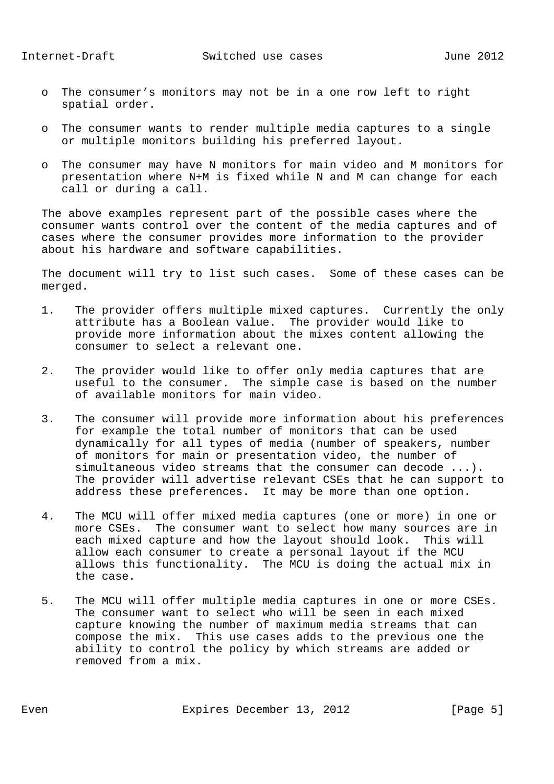- o The consumer's monitors may not be in a one row left to right spatial order.
- o The consumer wants to render multiple media captures to a single or multiple monitors building his preferred layout.
- o The consumer may have N monitors for main video and M monitors for presentation where N+M is fixed while N and M can change for each call or during a call.

 The above examples represent part of the possible cases where the consumer wants control over the content of the media captures and of cases where the consumer provides more information to the provider about his hardware and software capabilities.

 The document will try to list such cases. Some of these cases can be merged.

- 1. The provider offers multiple mixed captures. Currently the only attribute has a Boolean value. The provider would like to provide more information about the mixes content allowing the consumer to select a relevant one.
- 2. The provider would like to offer only media captures that are useful to the consumer. The simple case is based on the number of available monitors for main video.
- 3. The consumer will provide more information about his preferences for example the total number of monitors that can be used dynamically for all types of media (number of speakers, number of monitors for main or presentation video, the number of simultaneous video streams that the consumer can decode ...). The provider will advertise relevant CSEs that he can support to address these preferences. It may be more than one option.
- 4. The MCU will offer mixed media captures (one or more) in one or more CSEs. The consumer want to select how many sources are in each mixed capture and how the layout should look. This will allow each consumer to create a personal layout if the MCU allows this functionality. The MCU is doing the actual mix in the case.
- 5. The MCU will offer multiple media captures in one or more CSEs. The consumer want to select who will be seen in each mixed capture knowing the number of maximum media streams that can compose the mix. This use cases adds to the previous one the ability to control the policy by which streams are added or removed from a mix.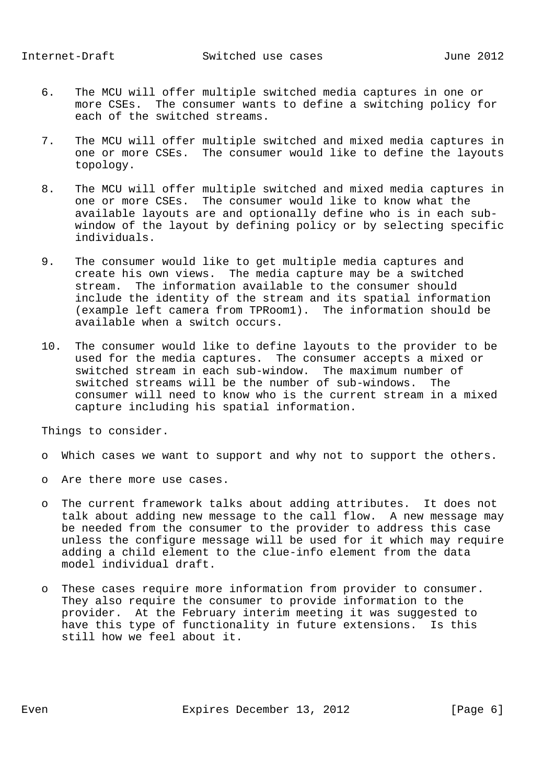- 6. The MCU will offer multiple switched media captures in one or more CSEs. The consumer wants to define a switching policy for each of the switched streams.
- 7. The MCU will offer multiple switched and mixed media captures in one or more CSEs. The consumer would like to define the layouts topology.
- 8. The MCU will offer multiple switched and mixed media captures in one or more CSEs. The consumer would like to know what the available layouts are and optionally define who is in each sub window of the layout by defining policy or by selecting specific individuals.
- 9. The consumer would like to get multiple media captures and create his own views. The media capture may be a switched stream. The information available to the consumer should include the identity of the stream and its spatial information (example left camera from TPRoom1). The information should be available when a switch occurs.
- 10. The consumer would like to define layouts to the provider to be used for the media captures. The consumer accepts a mixed or switched stream in each sub-window. The maximum number of switched streams will be the number of sub-windows. The consumer will need to know who is the current stream in a mixed capture including his spatial information.

Things to consider.

- o Which cases we want to support and why not to support the others.
- o Are there more use cases.
- o The current framework talks about adding attributes. It does not talk about adding new message to the call flow. A new message may be needed from the consumer to the provider to address this case unless the configure message will be used for it which may require adding a child element to the clue-info element from the data model individual draft.
- o These cases require more information from provider to consumer. They also require the consumer to provide information to the provider. At the February interim meeting it was suggested to have this type of functionality in future extensions. Is this still how we feel about it.